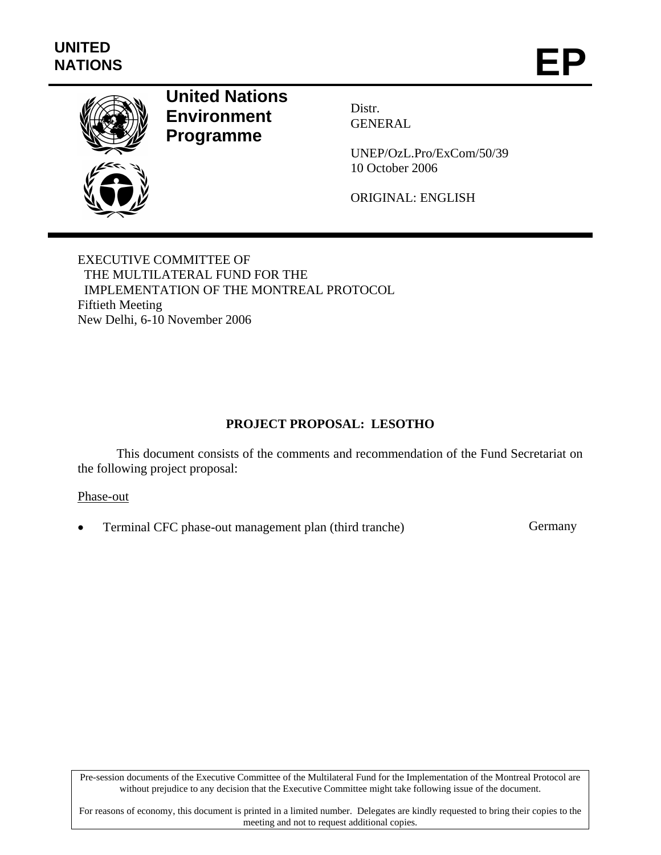

# **United Nations Environment Programme**

Distr. GENERAL

UNEP/OzL.Pro/ExCom/50/39 10 October 2006

ORIGINAL: ENGLISH

EXECUTIVE COMMITTEE OF THE MULTILATERAL FUND FOR THE IMPLEMENTATION OF THE MONTREAL PROTOCOL Fiftieth Meeting New Delhi, 6-10 November 2006

## **PROJECT PROPOSAL: LESOTHO**

This document consists of the comments and recommendation of the Fund Secretariat on the following project proposal:

#### Phase-out

Terminal CFC phase-out management plan (third tranche) Germany

Pre-session documents of the Executive Committee of the Multilateral Fund for the Implementation of the Montreal Protocol are without prejudice to any decision that the Executive Committee might take following issue of the document.

For reasons of economy, this document is printed in a limited number. Delegates are kindly requested to bring their copies to the meeting and not to request additional copies.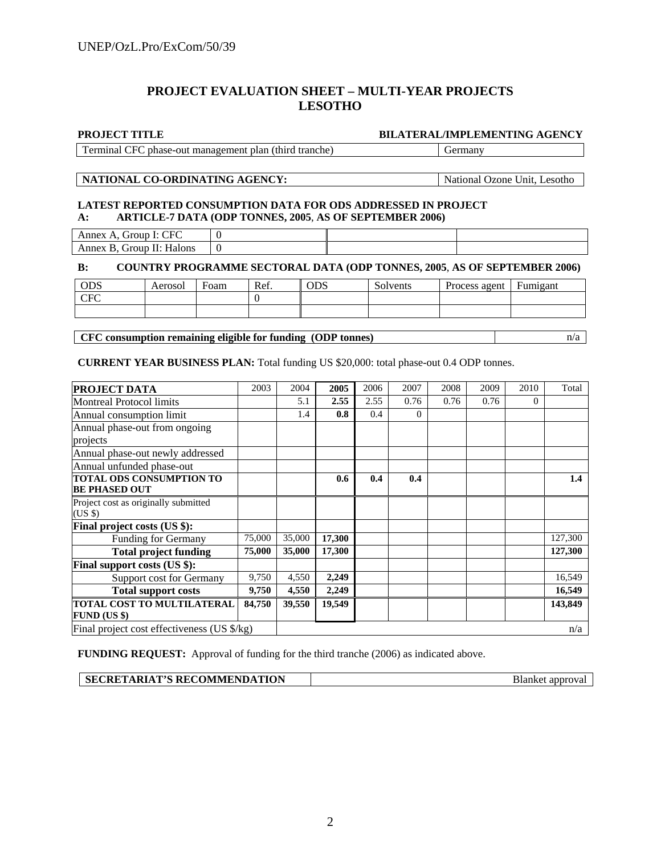### **PROJECT EVALUATION SHEET – MULTI-YEAR PROJECTS LESOTHO**

**PROJECT TITLE BILATERAL/IMPLEMENTING AGENCY** 

Terminal CFC phase-out management plan (third tranche) Germany

#### **NATIONAL CO-ORDINATING AGENCY:** National Ozone Unit, Lesotho

#### **LATEST REPORTED CONSUMPTION DATA FOR ODS ADDRESSED IN PROJECT A: ARTICLE-7 DATA (ODP TONNES, 2005**, **AS OF SEPTEMBER 2006)**

Annex A, Group I: CFC  $\begin{array}{|c|c|} \hline \end{array}$  0 Annex B, Group II: Halons 0

#### **B: COUNTRY PROGRAMME SECTORAL DATA (ODP TONNES, 2005**, **AS OF SEPTEMBER 2006)**

| ODS                           | Aerosol | Foam | Ref. | <b>ODS</b> | Solvents | Process agent | Fumigant |
|-------------------------------|---------|------|------|------------|----------|---------------|----------|
| $C_{\text{E}\text{C}}$<br>u u |         |      |      |            |          |               |          |
|                               |         |      |      |            |          |               |          |

**CFC consumption remaining eligible for funding (ODP tonnes)** and a n/a

### **CURRENT YEAR BUSINESS PLAN:** Total funding US \$20,000: total phase-out 0.4 ODP tonnes.

| <b>PROJECT DATA</b>                               | 2003   | 2004   | 2005   | 2006 | 2007     | 2008 | 2009 | 2010     | Total   |
|---------------------------------------------------|--------|--------|--------|------|----------|------|------|----------|---------|
| <b>Montreal Protocol limits</b>                   |        | 5.1    | 2.55   | 2.55 | 0.76     | 0.76 | 0.76 | $\Omega$ |         |
| Annual consumption limit                          |        | 1.4    | 0.8    | 0.4  | $\Omega$ |      |      |          |         |
| Annual phase-out from ongoing                     |        |        |        |      |          |      |      |          |         |
| projects                                          |        |        |        |      |          |      |      |          |         |
| Annual phase-out newly addressed                  |        |        |        |      |          |      |      |          |         |
| Annual unfunded phase-out                         |        |        |        |      |          |      |      |          |         |
| TOTAL ODS CONSUMPTION TO                          |        |        | 0.6    | 0.4  | 0.4      |      |      |          | 1.4     |
| <b>BE PHASED OUT</b>                              |        |        |        |      |          |      |      |          |         |
| Project cost as originally submitted              |        |        |        |      |          |      |      |          |         |
| $(US \$                                           |        |        |        |      |          |      |      |          |         |
| Final project costs (US \$):                      |        |        |        |      |          |      |      |          |         |
| Funding for Germany                               | 75,000 | 35,000 | 17,300 |      |          |      |      |          | 127,300 |
| <b>Total project funding</b>                      | 75,000 | 35,000 | 17,300 |      |          |      |      |          | 127,300 |
| Final support costs (US \$):                      |        |        |        |      |          |      |      |          |         |
| Support cost for Germany                          | 9,750  | 4,550  | 2,249  |      |          |      |      |          | 16,549  |
| <b>Total support costs</b>                        | 9,750  | 4,550  | 2,249  |      |          |      |      |          | 16,549  |
| TOTAL COST TO MULTILATERAL<br><b>FUND (US \$)</b> | 84,750 | 39,550 | 19,549 |      |          |      |      |          | 143,849 |
| Final project cost effectiveness (US \$/kg)       |        |        |        |      |          |      |      | n/a      |         |

**FUNDING REQUEST:** Approval of funding for the third tranche (2006) as indicated above.

| <b>SECRETARIAT'S RECOMMENDATION</b> |
|-------------------------------------|
|-------------------------------------|

**Blanket approval**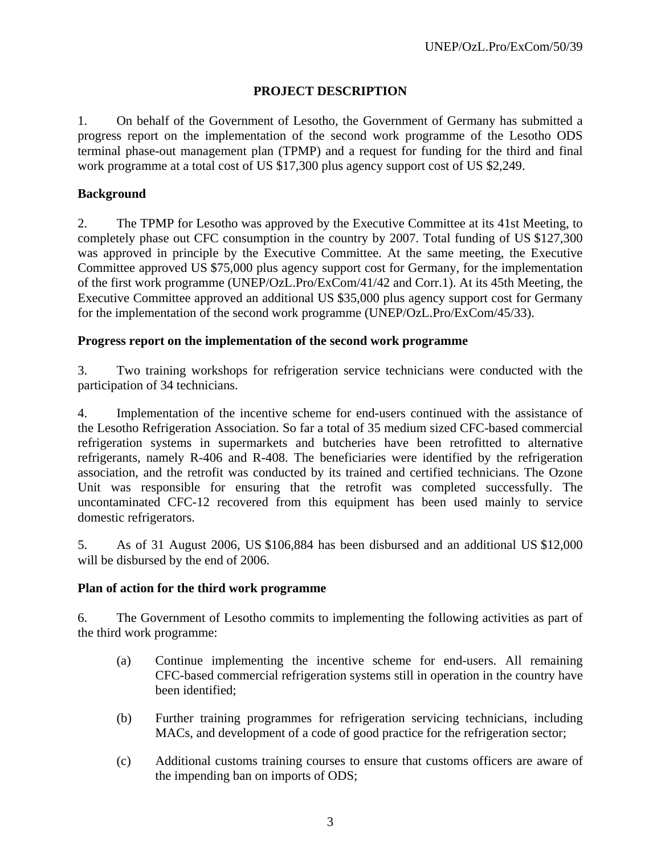## **PROJECT DESCRIPTION**

1. On behalf of the Government of Lesotho, the Government of Germany has submitted a progress report on the implementation of the second work programme of the Lesotho ODS terminal phase-out management plan (TPMP) and a request for funding for the third and final work programme at a total cost of US \$17,300 plus agency support cost of US \$2,249.

### **Background**

2. The TPMP for Lesotho was approved by the Executive Committee at its 41st Meeting, to completely phase out CFC consumption in the country by 2007. Total funding of US \$127,300 was approved in principle by the Executive Committee. At the same meeting, the Executive Committee approved US \$75,000 plus agency support cost for Germany, for the implementation of the first work programme (UNEP/OzL.Pro/ExCom/41/42 and Corr.1). At its 45th Meeting, the Executive Committee approved an additional US \$35,000 plus agency support cost for Germany for the implementation of the second work programme (UNEP/OzL.Pro/ExCom/45/33).

#### **Progress report on the implementation of the second work programme**

3. Two training workshops for refrigeration service technicians were conducted with the participation of 34 technicians.

4. Implementation of the incentive scheme for end-users continued with the assistance of the Lesotho Refrigeration Association. So far a total of 35 medium sized CFC-based commercial refrigeration systems in supermarkets and butcheries have been retrofitted to alternative refrigerants, namely R-406 and R-408. The beneficiaries were identified by the refrigeration association, and the retrofit was conducted by its trained and certified technicians. The Ozone Unit was responsible for ensuring that the retrofit was completed successfully. The uncontaminated CFC-12 recovered from this equipment has been used mainly to service domestic refrigerators.

5. As of 31 August 2006, US \$106,884 has been disbursed and an additional US \$12,000 will be disbursed by the end of 2006.

#### **Plan of action for the third work programme**

6. The Government of Lesotho commits to implementing the following activities as part of the third work programme:

- (a) Continue implementing the incentive scheme for end-users. All remaining CFC-based commercial refrigeration systems still in operation in the country have been identified;
- (b) Further training programmes for refrigeration servicing technicians, including MACs, and development of a code of good practice for the refrigeration sector;
- (c) Additional customs training courses to ensure that customs officers are aware of the impending ban on imports of ODS;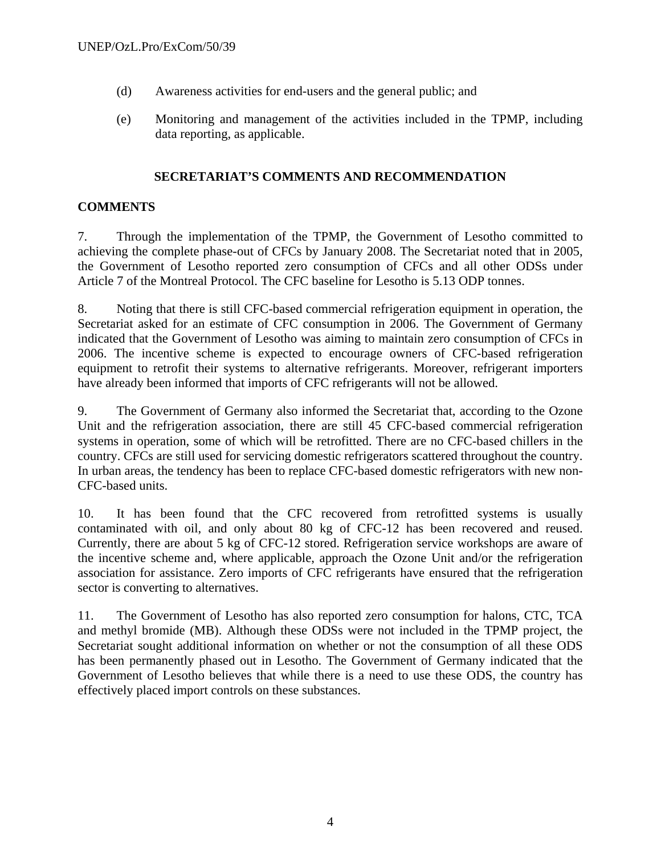- (d) Awareness activities for end-users and the general public; and
- (e) Monitoring and management of the activities included in the TPMP, including data reporting, as applicable.

## **SECRETARIAT'S COMMENTS AND RECOMMENDATION**

## **COMMENTS**

7. Through the implementation of the TPMP, the Government of Lesotho committed to achieving the complete phase-out of CFCs by January 2008. The Secretariat noted that in 2005, the Government of Lesotho reported zero consumption of CFCs and all other ODSs under Article 7 of the Montreal Protocol. The CFC baseline for Lesotho is 5.13 ODP tonnes.

8. Noting that there is still CFC-based commercial refrigeration equipment in operation, the Secretariat asked for an estimate of CFC consumption in 2006. The Government of Germany indicated that the Government of Lesotho was aiming to maintain zero consumption of CFCs in 2006. The incentive scheme is expected to encourage owners of CFC-based refrigeration equipment to retrofit their systems to alternative refrigerants. Moreover, refrigerant importers have already been informed that imports of CFC refrigerants will not be allowed.

9. The Government of Germany also informed the Secretariat that, according to the Ozone Unit and the refrigeration association, there are still 45 CFC-based commercial refrigeration systems in operation, some of which will be retrofitted. There are no CFC-based chillers in the country. CFCs are still used for servicing domestic refrigerators scattered throughout the country. In urban areas, the tendency has been to replace CFC-based domestic refrigerators with new non-CFC-based units.

10. It has been found that the CFC recovered from retrofitted systems is usually contaminated with oil, and only about 80 kg of CFC-12 has been recovered and reused. Currently, there are about 5 kg of CFC-12 stored. Refrigeration service workshops are aware of the incentive scheme and, where applicable, approach the Ozone Unit and/or the refrigeration association for assistance. Zero imports of CFC refrigerants have ensured that the refrigeration sector is converting to alternatives.

11. The Government of Lesotho has also reported zero consumption for halons, CTC, TCA and methyl bromide (MB). Although these ODSs were not included in the TPMP project, the Secretariat sought additional information on whether or not the consumption of all these ODS has been permanently phased out in Lesotho. The Government of Germany indicated that the Government of Lesotho believes that while there is a need to use these ODS, the country has effectively placed import controls on these substances.